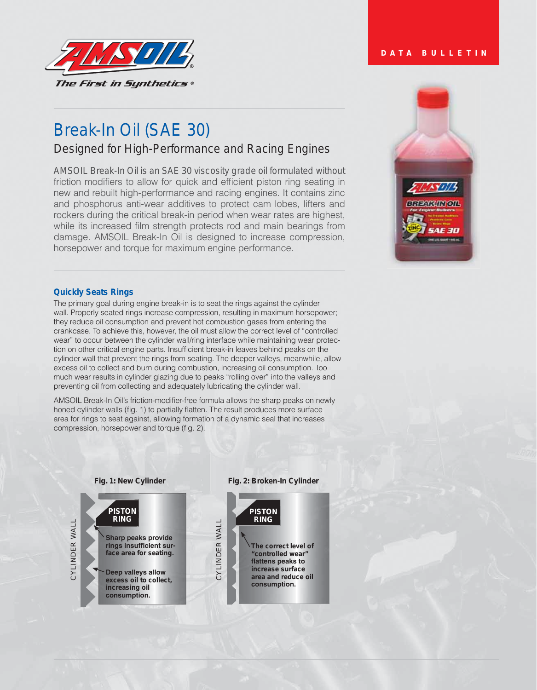

# Break-In Oil (SAE 30)

Designed for High-Performance and Racing Engines

AMSOIL Break-In Oil is an SAE 30 viscosity grade oil formulated without friction modifiers to allow for quick and efficient piston ring seating in new and rebuilt high-performance and racing engines. It contains zinc and phosphorus anti-wear additives to protect cam lobes, lifters and rockers during the critical break-in period when wear rates are highest, while its increased film strength protects rod and main bearings from damage. AMSOIL Break-In Oil is designed to increase compression, horsepower and torque for maximum engine performance.

# **DATA BULLETIN**



## **Quickly Seats Rings**

The primary goal during engine break-in is to seat the rings against the cylinder wall. Properly seated rings increase compression, resulting in maximum horsepower; they reduce oil consumption and prevent hot combustion gases from entering the crankcase. To achieve this, however, the oil must allow the correct level of "controlled wear" to occur between the cylinder wall/ring interface while maintaining wear protection on other critical engine parts. Insufficient break-in leaves behind peaks on the cylinder wall that prevent the rings from seating. The deeper valleys, meanwhile, allow excess oil to collect and burn during combustion, increasing oil consumption. Too much wear results in cylinder glazing due to peaks "rolling over" into the valleys and preventing oil from collecting and adequately lubricating the cylinder wall.

AMSOIL Break-In Oil's friction-modifier-free formula allows the sharp peaks on newly honed cylinder walls (fig. 1) to partially flatten. The result produces more surface area for rings to seat against, allowing formation of a dynamic seal that increases compression, horsepower and torque (fig. 2).



#### **Fig. 2: Broken-In Cylinder**